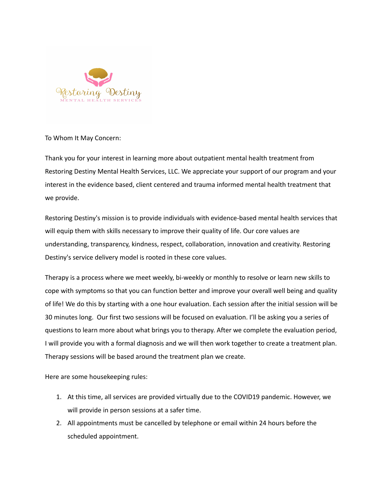

## To Whom It May Concern:

Thank you for your interest in learning more about outpatient mental health treatment from Restoring Destiny Mental Health Services, LLC. We appreciate your support of our program and your interest in the evidence based, client centered and trauma informed mental health treatment that we provide.

Restoring Destiny's mission is to provide individuals with evidence-based mental health services that will equip them with skills necessary to improve their quality of life. Our core values are understanding, transparency, kindness, respect, collaboration, innovation and creativity. Restoring Destiny's service delivery model is rooted in these core values.

Therapy is a process where we meet weekly, bi-weekly or monthly to resolve or learn new skills to cope with symptoms so that you can function better and improve your overall well being and quality of life! We do this by starting with a one hour evaluation. Each session after the initial session will be 30 minutes long. Our first two sessions will be focused on evaluation. I'll be asking you a series of questions to learn more about what brings you to therapy. After we complete the evaluation period, I will provide you with a formal diagnosis and we will then work together to create a treatment plan. Therapy sessions will be based around the treatment plan we create.

Here are some housekeeping rules:

- 1. At this time, all services are provided virtually due to the COVID19 pandemic. However, we will provide in person sessions at a safer time.
- 2. All appointments must be cancelled by telephone or email within 24 hours before the scheduled appointment.